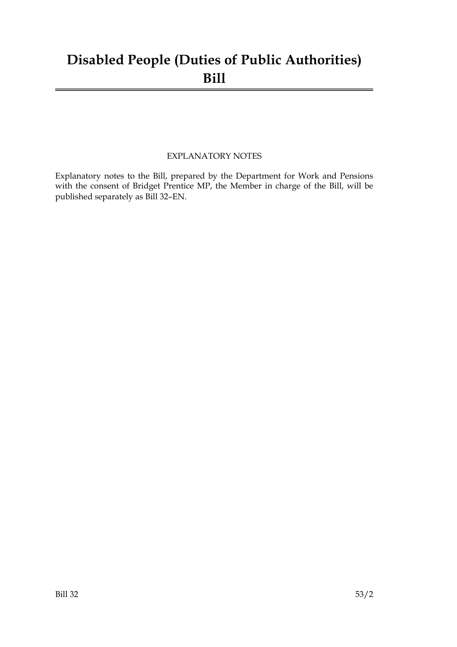## **Disabled People (Duties of Public Authorities) Bill**

### EXPLANATORY NOTES

Explanatory notes to the Bill, prepared by the Department for Work and Pensions with the consent of Bridget Prentice MP, the Member in charge of the Bill, will be published separately as Bill 32–EN.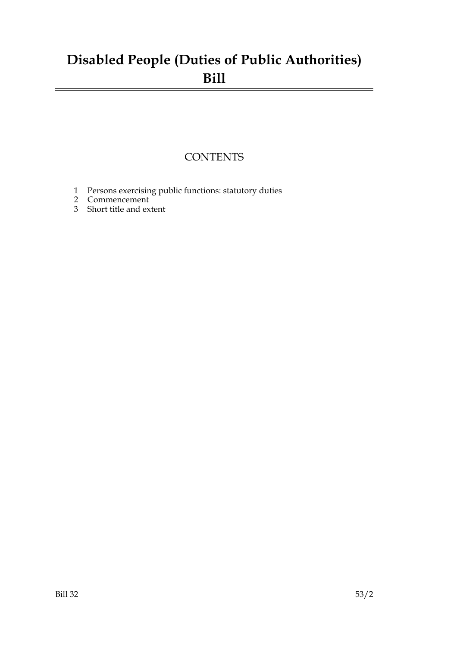## **Disabled People (Duties of Public Authorities) Bill**

### **CONTENTS**

- 1 Persons exercising public functions: statutory duties
- 2 Commencement
- 3 Short title and extent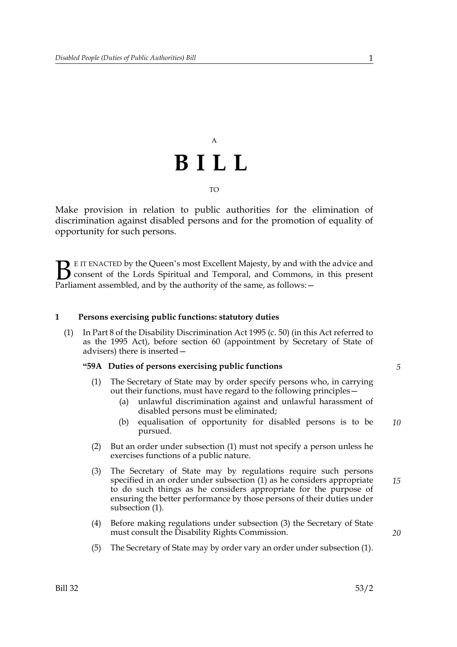## A **BILL** TO

Make provision in relation to public authorities for the elimination of discrimination against disabled persons and for the promotion of equality of opportunity for such persons.

E IT ENACTED by the Queen's most Excellent Majesty, by and with the advice and consent of the Lords Spiritual and Temporal, and Commons, in this present Parliament assembled, and by the authority of the same, as follows: - $B_{\text{p}}$ 

#### **1 Persons exercising public functions: statutory duties**

(1) In Part 8 of the Disability Discrimination Act 1995 (c. 50) (in this Act referred to as the 1995 Act), before section 60 (appointment by Secretary of State of advisers) there is inserted—

#### **"59A Duties of persons exercising public functions**

- (1) The Secretary of State may by order specify persons who, in carrying out their functions, must have regard to the following principles—
	- (a) unlawful discrimination against and unlawful harassment of disabled persons must be eliminated;
	- (b) equalisation of opportunity for disabled persons is to be pursued. *10*
- (2) But an order under subsection (1) must not specify a person unless he exercises functions of a public nature.
- (3) The Secretary of State may by regulations require such persons specified in an order under subsection (1) as he considers appropriate to do such things as he considers appropriate for the purpose of ensuring the better performance by those persons of their duties under subsection (1). *15*
- (4) Before making regulations under subsection (3) the Secretary of State must consult the Disability Rights Commission.
- (5) The Secretary of State may by order vary an order under subsection (1).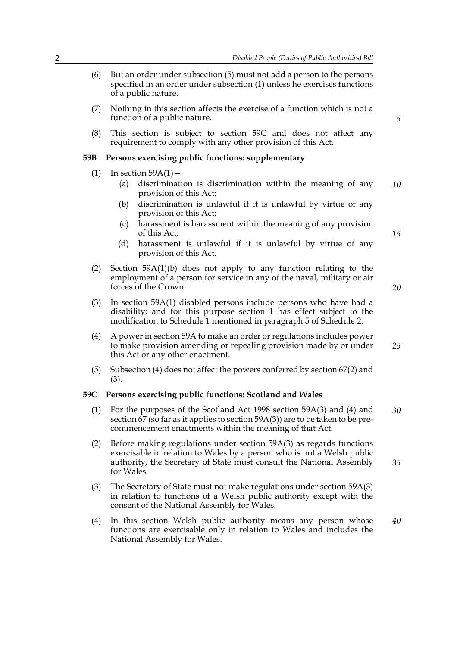- (6) But an order under subsection (5) must not add a person to the persons specified in an order under subsection (1) unless he exercises functions of a public nature.
- (7) Nothing in this section affects the exercise of a function which is not a function of a public nature.
- (8) This section is subject to section 59C and does not affect any requirement to comply with any other provision of this Act.

#### **59B Persons exercising public functions: supplementary**

- (1) In section  $59A(1)$  -
	- (a) discrimination is discrimination within the meaning of any provision of this Act; *10*
	- (b) discrimination is unlawful if it is unlawful by virtue of any provision of this Act;
	- (c) harassment is harassment within the meaning of any provision of this Act;
	- (d) harassment is unlawful if it is unlawful by virtue of any provision of this Act.
- (2) Section 59A(1)(b) does not apply to any function relating to the employment of a person for service in any of the naval, military or air forces of the Crown.
- (3) In section 59A(1) disabled persons include persons who have had a disability; and for this purpose section 1 has effect subject to the modification to Schedule 1 mentioned in paragraph 5 of Schedule 2.
- (4) A power in section 59A to make an order or regulations includes power to make provision amending or repealing provision made by or under this Act or any other enactment.
- (5) Subsection (4) does not affect the powers conferred by section 67(2) and (3).

#### **59C Persons exercising public functions: Scotland and Wales**

- (1) For the purposes of the Scotland Act 1998 section 59A(3) and (4) and section  $67$  (so far as it applies to section 59A(3)) are to be taken to be precommencement enactments within the meaning of that Act. *30*
- (2) Before making regulations under section 59A(3) as regards functions exercisable in relation to Wales by a person who is not a Welsh public authority, the Secretary of State must consult the National Assembly for Wales. *35*
- (3) The Secretary of State must not make regulations under section 59A(3) in relation to functions of a Welsh public authority except with the consent of the National Assembly for Wales.
- (4) In this section Welsh public authority means any person whose functions are exercisable only in relation to Wales and includes the National Assembly for Wales. *40*

*5*

*20*

*15*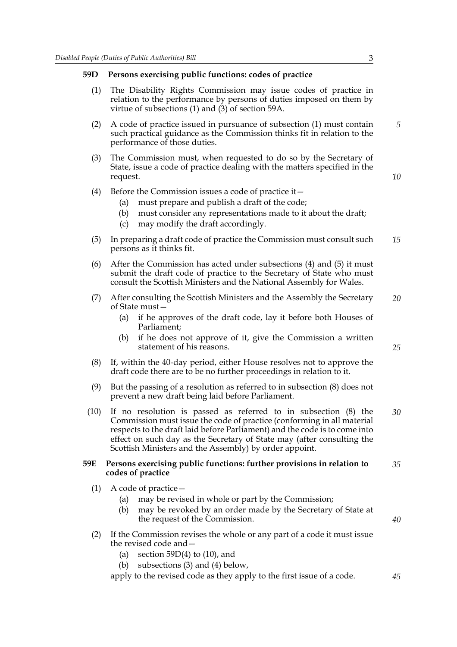#### **59D Persons exercising public functions: codes of practice**

- (1) The Disability Rights Commission may issue codes of practice in relation to the performance by persons of duties imposed on them by virtue of subsections  $(1)$  and  $(3)$  of section 59A.
- (2) A code of practice issued in pursuance of subsection (1) must contain such practical guidance as the Commission thinks fit in relation to the performance of those duties.
- (3) The Commission must, when requested to do so by the Secretary of State, issue a code of practice dealing with the matters specified in the request.
- (4) Before the Commission issues a code of practice it—
	- (a) must prepare and publish a draft of the code;
	- (b) must consider any representations made to it about the draft;
	- (c) may modify the draft accordingly.
- (5) In preparing a draft code of practice the Commission must consult such persons as it thinks fit. *15*
- (6) After the Commission has acted under subsections (4) and (5) it must submit the draft code of practice to the Secretary of State who must consult the Scottish Ministers and the National Assembly for Wales.
- (7) After consulting the Scottish Ministers and the Assembly the Secretary of State must— *20*
	- (a) if he approves of the draft code, lay it before both Houses of Parliament;
	- (b) if he does not approve of it, give the Commission a written statement of his reasons.
- (8) If, within the 40-day period, either House resolves not to approve the draft code there are to be no further proceedings in relation to it.
- (9) But the passing of a resolution as referred to in subsection (8) does not prevent a new draft being laid before Parliament.
- (10) If no resolution is passed as referred to in subsection (8) the Commission must issue the code of practice (conforming in all material respects to the draft laid before Parliament) and the code is to come into effect on such day as the Secretary of State may (after consulting the Scottish Ministers and the Assembly) by order appoint. *30*

#### **59E Persons exercising public functions: further provisions in relation to codes of practice** *35*

- (1) A code of practice—
	- (a) may be revised in whole or part by the Commission;
	- (b) may be revoked by an order made by the Secretary of State at the request of the Commission.
- (2) If the Commission revises the whole or any part of a code it must issue the revised code and—
	- (a) section 59D(4) to  $(10)$ , and
	- (b) subsections (3) and (4) below,

apply to the revised code as they apply to the first issue of a code.

*25*

*45*

*40*

*5*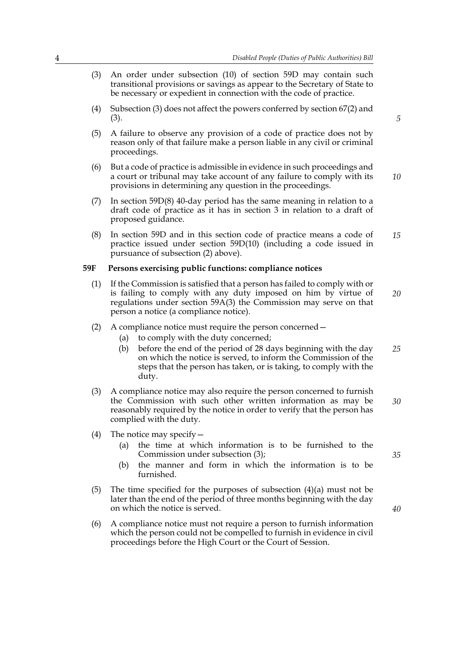- (3) An order under subsection (10) of section 59D may contain such transitional provisions or savings as appear to the Secretary of State to be necessary or expedient in connection with the code of practice.
- (4) Subsection (3) does not affect the powers conferred by section 67(2) and (3).
- (5) A failure to observe any provision of a code of practice does not by reason only of that failure make a person liable in any civil or criminal proceedings.
- (6) But a code of practice is admissible in evidence in such proceedings and a court or tribunal may take account of any failure to comply with its provisions in determining any question in the proceedings.
- (7) In section 59D(8) 40-day period has the same meaning in relation to a draft code of practice as it has in section 3 in relation to a draft of proposed guidance.
- (8) In section 59D and in this section code of practice means a code of practice issued under section 59D(10) (including a code issued in pursuance of subsection (2) above). *15*

#### **59F Persons exercising public functions: compliance notices**

- (1) If the Commission is satisfied that a person has failed to comply with or is failing to comply with any duty imposed on him by virtue of regulations under section 59A(3) the Commission may serve on that person a notice (a compliance notice). *20*
- (2) A compliance notice must require the person concerned—
	- (a) to comply with the duty concerned;
	- (b) before the end of the period of 28 days beginning with the day on which the notice is served, to inform the Commission of the steps that the person has taken, or is taking, to comply with the duty. *25*
- (3) A compliance notice may also require the person concerned to furnish the Commission with such other written information as may be reasonably required by the notice in order to verify that the person has complied with the duty.
- (4) The notice may specify  $-$ 
	- (a) the time at which information is to be furnished to the Commission under subsection (3);
	- (b) the manner and form in which the information is to be furnished.
- (5) The time specified for the purposes of subsection (4)(a) must not be later than the end of the period of three months beginning with the day on which the notice is served.
- (6) A compliance notice must not require a person to furnish information which the person could not be compelled to furnish in evidence in civil proceedings before the High Court or the Court of Session.

*5*

*10*

*35*

*40*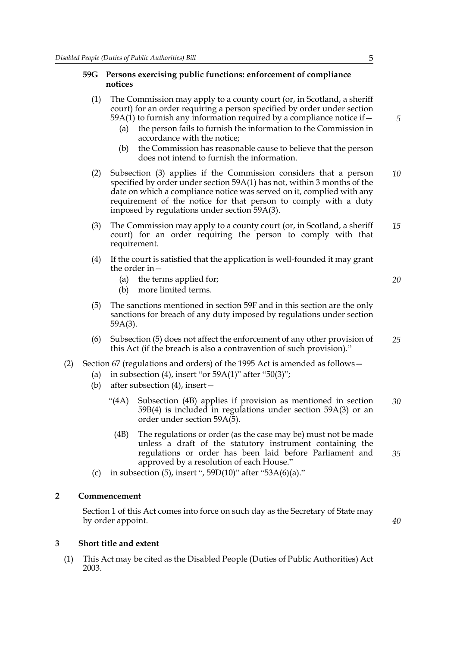### **59G Persons exercising public functions: enforcement of compliance notices**

- (1) The Commission may apply to a county court (or, in Scotland, a sheriff court) for an order requiring a person specified by order under section  $59A(1)$  to furnish any information required by a compliance notice if  $-$ 
	- (a) the person fails to furnish the information to the Commission in accordance with the notice;
	- (b) the Commission has reasonable cause to believe that the person does not intend to furnish the information.
- (2) Subsection (3) applies if the Commission considers that a person specified by order under section 59A(1) has not, within 3 months of the date on which a compliance notice was served on it, complied with any requirement of the notice for that person to comply with a duty imposed by regulations under section 59A(3). *10*
- (3) The Commission may apply to a county court (or, in Scotland, a sheriff court) for an order requiring the person to comply with that requirement. *15*
- (4) If the court is satisfied that the application is well-founded it may grant the order in—
	- (a) the terms applied for;
	- (b) more limited terms.
- (5) The sanctions mentioned in section 59F and in this section are the only sanctions for breach of any duty imposed by regulations under section 59A(3).
- (6) Subsection (5) does not affect the enforcement of any other provision of this Act (if the breach is also a contravention of such provision)." *25*
- (2) Section 67 (regulations and orders) of the 1995 Act is amended as follows—
	- (a) in subsection (4), insert "or  $59A(1)$ " after " $50(3)$ ";
	- (b) after subsection (4), insert—
		- "(4A) Subsection (4B) applies if provision as mentioned in section 59B(4) is included in regulations under section 59A(3) or an order under section 59A(5). *30*
			- (4B) The regulations or order (as the case may be) must not be made unless a draft of the statutory instrument containing the regulations or order has been laid before Parliament and approved by a resolution of each House." *35*
	- (c) in subsection (5), insert ",  $59D(10)$ " after " $53A(6)(a)$ ."

#### **2 Commencement**

Section 1 of this Act comes into force on such day as the Secretary of State may by order appoint.

*40*

#### **3 Short title and extent**

(1) This Act may be cited as the Disabled People (Duties of Public Authorities) Act 2003.

*5*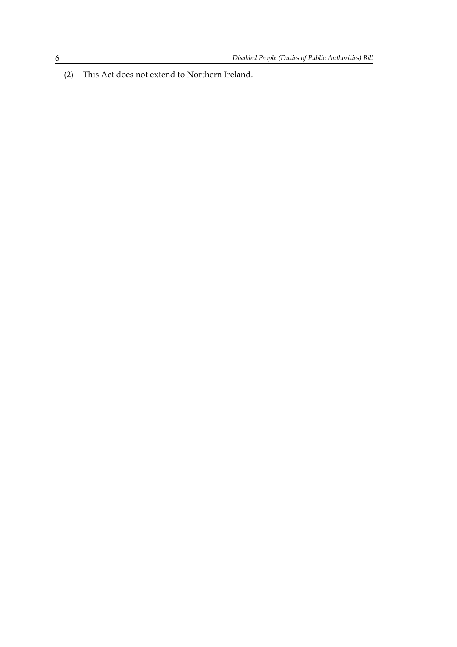(2) This Act does not extend to Northern Ireland.